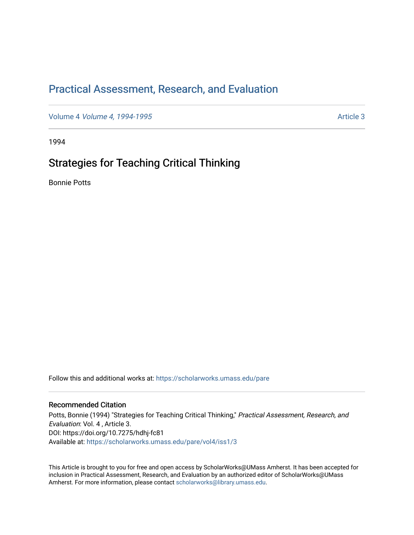# [Practical Assessment, Research, and Evaluation](https://scholarworks.umass.edu/pare)

Volume 4 *[Volume 4, 1994-1995](https://scholarworks.umass.edu/pare/vol4)* Article 3

1994

# Strategies for Teaching Critical Thinking

Bonnie Potts

Follow this and additional works at: [https://scholarworks.umass.edu/pare](https://scholarworks.umass.edu/pare?utm_source=scholarworks.umass.edu%2Fpare%2Fvol4%2Fiss1%2F3&utm_medium=PDF&utm_campaign=PDFCoverPages) 

#### Recommended Citation

Potts, Bonnie (1994) "Strategies for Teaching Critical Thinking," Practical Assessment, Research, and Evaluation: Vol. 4 , Article 3. DOI: https://doi.org/10.7275/hdhj-fc81 Available at: [https://scholarworks.umass.edu/pare/vol4/iss1/3](https://scholarworks.umass.edu/pare/vol4/iss1/3?utm_source=scholarworks.umass.edu%2Fpare%2Fvol4%2Fiss1%2F3&utm_medium=PDF&utm_campaign=PDFCoverPages) 

This Article is brought to you for free and open access by ScholarWorks@UMass Amherst. It has been accepted for inclusion in Practical Assessment, Research, and Evaluation by an authorized editor of ScholarWorks@UMass Amherst. For more information, please contact [scholarworks@library.umass.edu](mailto:scholarworks@library.umass.edu).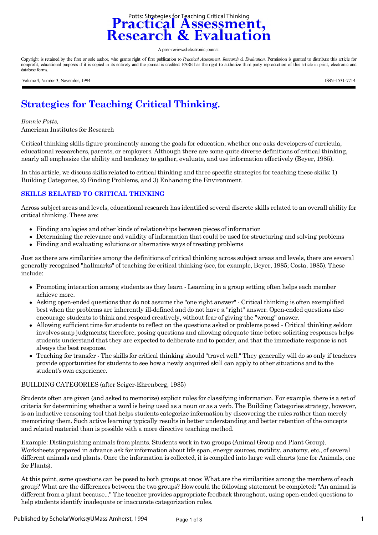

A peer-reviewed electronic journal.

Copyright is retained by the first or sole author, who grants right of first publication to *Practical Assessment, Research & Evaluation*. Permission is granted to distribute this article for nonprofit, educational purposes if it is copied in its entirety and the journal is credited. PARE has the right to authorize third party reproduction of this article in print, electronic and database forms.

Volume 4, Number 3, November, 1994 ISSN=1531-7714

# **Strategies for Teaching Critical Thinking.**

#### *Bonnie Potts,*

American Institutes for Research

Critical thinking skills figure prominently among the goals for education, whether one asks developers of curricula, educational researchers, parents, or employers. Although there are some quite diverse definitions of critical thinking, nearly all emphasize the ability and tendency to gather, evaluate, and use information effectively (Beyer, 1985).

In this article, we discuss skills related to critical thinking and three specific strategies for teaching these skills: 1) Building Categories, 2) Finding Problems, and 3) Enhancing the Environment.

#### **SKILLS RELATED TO CRITICAL THINKING**

Across subject areas and levels, educational research has identified several discrete skills related to an overall ability for critical thinking. These are:

- Finding analogies and other kinds of relationships between pieces of information
- Determining the relevance and validity of information that could be used for structuring and solving problems
- $\bullet$ Finding and evaluating solutions or alternative ways of treating problems

Just as there are similarities among the definitions of critical thinking across subject areas and levels, there are several generally recognized "hallmarks" of teaching for critical thinking (see, for example, Beyer, 1985; Costa, 1985). These include:

- Promoting interaction among students as they learn Learning in a group setting often helps each member achieve more.
- Asking open-ended questions that do not assume the "one right answer" Critical thinking is often exemplified best when the problems are inherently ill-defined and do not have a "right" answer. Open-ended questions also encourage students to think and respond creatively, without fear of giving the "wrong" answer.
- Allowing sufficient time for students to reflect on the questions asked or problems posed Critical thinking seldom involves snap judgments; therefore, posing questions and allowing adequate time before soliciting responses helps students understand that they are expected to deliberate and to ponder, and that the immediate response is not always the best response.
- Teaching for transfer The skills for critical thinking should "travel well." They generally will do so only if teachers provide opportunities for students to see how a newly acquired skill can apply to other situations and to the student's own experience.

#### BUILDING CATEGORIES (after Seiger-Ehrenberg, 1985)

Students often are given (and asked to memorize) explicit rules for classifying information. For example, there is a set of criteria for determining whether a word is being used as a noun or as a verb. The Building Categories strategy, however, is an inductive reasoning tool that helps students categorize information by discovering the rules rather than merely memorizing them. Such active learning typically results in better understanding and better retention of the concepts and related material than is possible with a more directive teaching method.

Example: Distinguishing animals from plants. Students work in two groups (Animal Group and Plant Group). Worksheets prepared in advance ask for information about life span, energy sources, motility, anatomy, etc., of several different animals and plants. Once the information is collected, it is compiled into large wall charts (one for Animals, one for Plants).

At this point, some questions can be posed to both groups at once: What are the similarities among the members of each group? What are the differences between the two groups? How could the following statement be completed: "An animal is different from a plant because..." The teacher provides appropriate feedback throughout, using open-ended questions to help students identify inadequate or inaccurate categorization rules.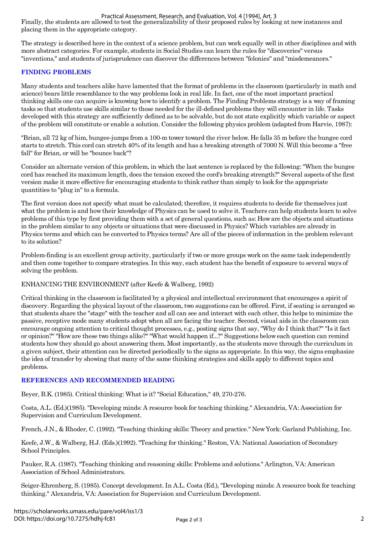Practical Assessment, Research, and Evaluation, Vol. 4 [1994], Art. 3

Finally, the students are allowed to test the generalizability of their proposed rules by looking at new instances and placing them in the appropriate category.

The strategy is described here in the context of a science problem, but can work equally well in other disciplines and with more abstract categories. For example, students in Social Studies can learn the rules for "discoveries" versus "inventions," and students of jurisprudence can discover the differences between "felonies" and "misdemeanors."

## **FINDING PROBLEMS**

Many students and teachers alike have lamented that the format of problems in the classroom (particularly in math and science) bears little resemblance to the way problems look in real life. In fact, one of the most important practical thinking skills one can acquire is knowing how to identify a problem. The Finding Problems strategy is a way of framing tasks so that students use skills similar to those needed for the ill-defined problems they will encounter in life. Tasks developed with this strategy are sufficiently defined as to be solvable, but do not state explicitly which variable or aspect of the problem will constitute or enable a solution. Consider the following physics problem (adapted from Harvie, 1987):

"Brian, all 72 kg of him, bungee-jumps from a 100-m tower toward the river below. He falls 35 m before the bungee cord starts to stretch. This cord can stretch 40% of its length and has a breaking strength of 7000 N. Will this become a "free fall" for Brian, or will he "bounce back"?

Consider an alternate version of this problem, in which the last sentence is replaced by the following: "When the bungee cord has reached its maximum length, does the tension exceed the cord's breaking strength?" Several aspects of the first version make it more effective for encouraging students to think rather than simply to look for the appropriate quantities to "plug in" to a formula.

The first version does not specify what must be calculated; therefore, it requires students to decide for themselves just what the problem is and how their knowledge of Physics can be used to solve it. Teachers can help students learn to solve problems of this type by first providing them with a set of general questions, such as: How are the objects and situations in the problem similar to any objects or situations that were discussed in Physics? Which variables are already in Physics terms and which can be converted to Physics terms? Are all of the pieces of information in the problem relevant to its solution?

Problem-finding is an excellent group activity, particularly if two or more groups work on the same task independently and then come together to compare strategies. In this way, each student has the benefit of exposure to several ways of solving the problem.

## ENHANCING THE ENVIRONMENT (after Keefe & Walberg, 1992)

Critical thinking in the classroom is facilitated by a physical and intellectual environment that encourages a spirit of discovery. Regarding the physical layout of the classroom, two suggestions can be offered. First, if seating is arranged so that students share the "stage" with the teacher and all can see and interact with each other, this helps to minimize the passive, receptive mode many students adopt when all are facing the teacher. Second, visual aids in the classroom can encourage ongoing attention to critical thought processes, e.g., posting signs that say, "Why do I think that?" "Is it fact or opinion?" "How are these two things alike?" "What would happen if...?" Suggestions below each question can remind students how they should go about answering them. Most importantly, as the students move through the curriculum in a given subject, their attention can be directed periodically to the signs as appropriate. In this way, the signs emphasize the idea of transfer by showing that many of the same thinking strategies and skills apply to different topics and problems.

## **REFERENCES AND RECOMMENDED READING**

Beyer, B.K. (1985). Critical thinking: What is it? "Social Education," 49, 270-276.

Costa, A.L. (Ed.)(1985). "Developing minds: A resource book for teaching thinking." Alexandria, VA: Association for Supervision and Curriculum Development.

French, J.N., & Rhoder, C. (1992). "Teaching thinking skills: Theory and practice." New York: Garland Publishing, Inc.

Keefe, J.W., & Walberg, H.J. (Eds.)(1992). "Teaching for thinking." Reston, VA: National Association of Secondary School Principles.

Pauker, R.A. (1987). "Teaching thinking and reasoning skills: Problems and solutions." Arlington, VA: American Association of School Administrators.

Seiger-Ehrenberg, S. (1985). Concept development. In A.L. Costa (Ed.), "Developing minds: A resource book for teaching thinking." Alexandria, VA: Association for Supervision and Curriculum Development.